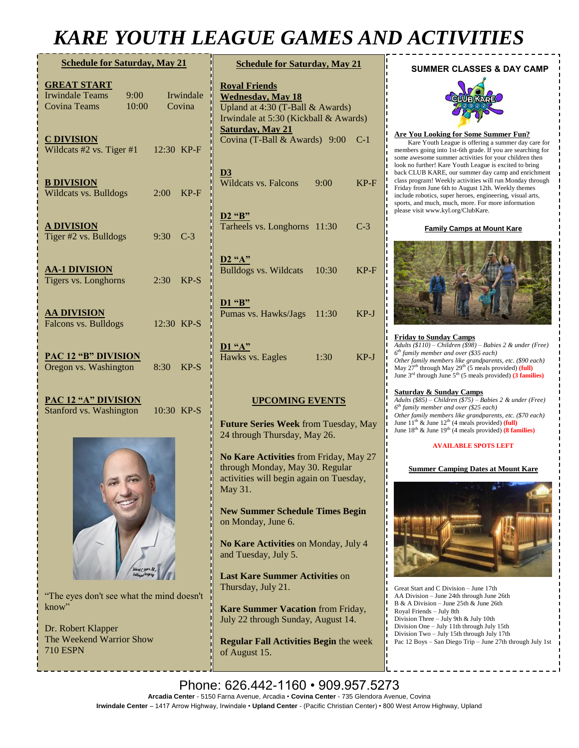# *KARE YOUTH LEAGUE GAMES AND ACTIVITIES*

| <b>Schedule for Saturday, May 21</b>                                                                                                  |                                   | <b>Schedule for Saturday, May 21</b>                                                                                                                                                                      |  |
|---------------------------------------------------------------------------------------------------------------------------------------|-----------------------------------|-----------------------------------------------------------------------------------------------------------------------------------------------------------------------------------------------------------|--|
| <b>GREAT START</b><br><b>Irwindale Teams</b><br>9:00<br><b>Covina Teams</b><br>10:00<br><b>C DIVISION</b><br>Wildcats #2 vs. Tiger #1 | Irwindale<br>Covina<br>12:30 KP-F | <b>Royal Friends</b><br><b>Wednesday, May 18</b><br>Upland at 4:30 (T-Ball & Awards)<br>Irwindale at 5:30 (Kickball & Awards)<br><b>Saturday</b> , May 21<br>Covina (T-Ball & Awards) 9:00 C-1            |  |
| <b>B DIVISION</b><br>Wildcats vs. Bulldogs                                                                                            | $KP-F$<br>2:00                    | D3<br>$\overline{\text{W}}$ ildcats vs. Falcons<br>$KP-F$<br>9:00                                                                                                                                         |  |
| <b>A DIVISION</b><br>Tiger #2 vs. Bulldogs                                                                                            | $9:30$ C-3                        | D <sub>2</sub> "B"<br>Tarheels vs. Longhorns 11:30<br>$C-3$                                                                                                                                               |  |
| <b>AA-1 DIVISION</b><br>Tigers vs. Longhorns                                                                                          | 2:30<br>$KP-S$                    | $D2$ "A"<br><b>Bulldogs vs. Wildcats</b><br>$KP-F$<br>10:30                                                                                                                                               |  |
| <b>AA DIVISION</b><br>Falcons vs. Bulldogs                                                                                            | 12:30 KP-S                        | D1 "B"<br>Pumas vs. Hawks/Jags<br>11:30<br>$KP-J$                                                                                                                                                         |  |
| <b>PAC 12 "B" DIVISION</b><br>Oregon vs. Washington                                                                                   | 8:30<br>$KP-S$                    | D1 "A"<br>Hawks vs. Eagles<br>1:30<br>$KP-J$                                                                                                                                                              |  |
| <b>PAC 12 "A" DIVISION</b><br>Stanford vs. Washington                                                                                 | 10:30 KP-S                        | <b>UPCOMING EVENTS</b><br>Future Series Week from Tuesday, May                                                                                                                                            |  |
|                                                                                                                                       |                                   | 24 through Thursday, May 26.<br>No Kare Activities from Friday, May 27<br>through Monday, May 30. Regular<br>activities will begin again on Tuesday,<br>May 31.<br><b>New Summer Schedule Times Begin</b> |  |

**imes Begin** on Monday, June 6.

**No Kare Activities** on Monday, July 4 and Tuesday, July 5.

**Last Kare Summer Activities** on Thursday, July 21.

**Kare Summer Vacation** from Friday, July 22 through Sunday, August 14.

**Regular Fall Activities Begin** the week of August 15.

## **SUMMER CLASSES & DAY CAMP**



## **Are You Looking for Some Summer Fun?**

Kare Youth League is offering a summer day care for members going into 1st-6th grade. If you are searching for some awesome summer activities for your children then look no further! Kare Youth League is excited to bring back CLUB KARE, our summer day camp and enrichment class program! Weekly activities will run Monday through Friday from June 6th to August 12th. Weekly themes include robotics, super heroes, engineering, visual arts, sports, and much, much, more. For more information please visit www.kyl.org/ClubKare.

#### **Family Camps at Mount Kare**



**Friday to Sunday Camps** *Adults (\$110) – Children (\$98) – Babies 2 & under (Free) 6 th family member and over (\$35 each) Other family members like grandparents, etc.* (\$90 each)<br>May 27<sup>th</sup> through May 29<sup>th</sup> (5 meals provided) (full) June 3rd through June 5th (5 meals provided) **(3 families)**

## **Saturday & Sunday Camps**

*Adults (\$85) – Children (\$75) – Babies 2 & under (Free) 6 th family member and over (\$25 each) Other family members like grandparents, etc.* (\$70 *each)*<br>June 11<sup>th</sup> & June 12<sup>th</sup> (4 meals provided) (**full**) June  $18^{th}$  & June  $19^{th}$  (4 meals provided) **(8 families)** 

#### **AVAILABLE SPOTS LEFT**

## **Summer Camping Dates at Mount Kare**



Great Start and C Division – June 17th AA Division – June 24th through June 26th B & A Division – June 25th & June 26th Royal Friends – July 8th Division Three – July 9th & July 10th Division One – July 11th through July 15th Division Two – July 15th through July 17th Pac 12 Boys – San Diego Trip – June 27th through July 1st



"The eyes don't see what the mind doesn't know"

Dr. Robert Klapper The Weekend Warrior Show 710 ESPN